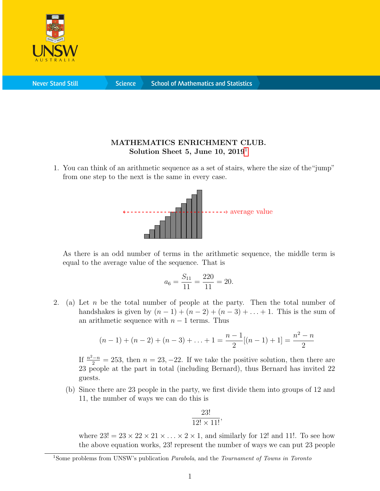

**Never Stand Still** 

**Science** 

## MATHEMATICS ENRICHMENT CLUB. Solution Sheet 5, June [1](#page-0-0)0,  $2019<sup>1</sup>$

1. You can think of an arithmetic sequence as a set of stairs, where the size of the"jump" from one step to the next is the same in every case.



As there is an odd number of terms in the arithmetic sequence, the middle term is equal to the average value of the sequence. That is

$$
a_6 = \frac{S_{11}}{11} = \frac{220}{11} = 20.
$$

2. (a) Let n be the total number of people at the party. Then the total number of handshakes is given by  $(n-1) + (n-2) + (n-3) + ... + 1$ . This is the sum of an arithmetic sequence with  $n - 1$  terms. Thus

$$
(n-1) + (n-2) + (n-3) + \ldots + 1 = \frac{n-1}{2}[(n-1) + 1] = \frac{n^2 - n}{2}
$$

If  $\frac{n^2-n}{2} = 253$ , then  $n = 23, -22$ . If we take the positive solution, then there are 23 people at the part in total (including Bernard), thus Bernard has invited 22 guests.

(b) Since there are 23 people in the party, we first divide them into groups of 12 and 11, the number of ways we can do this is

$$
\frac{23!}{12! \times 11!},
$$

where  $23! = 23 \times 22 \times 21 \times \ldots \times 2 \times 1$ , and similarly for 12! and 11!. To see how the above equation works, 23! represent the number of ways we can put 23 people

<span id="page-0-0"></span><sup>&</sup>lt;sup>1</sup>Some problems from UNSW's publication *Parabola*, and the *Tournament of Towns in Toronto*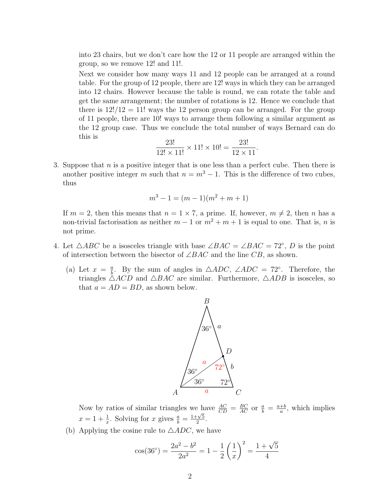into 23 chairs, but we don't care how the 12 or 11 people are arranged within the group, so we remove 12! and 11!.

Next we consider how many ways 11 and 12 people can be arranged at a round table. For the group of 12 people, there are 12! ways in which they can be arranged into 12 chairs. However because the table is round, we can rotate the table and get the same arrangement; the number of rotations is 12. Hence we conclude that there is  $12!/12 = 11!$  ways the 12 person group can be arranged. For the group of 11 people, there are 10! ways to arrange them following a similar argument as the 12 group case. Thus we conclude the total number of ways Bernard can do this is

$$
\frac{23!}{12! \times 11!} \times 11! \times 10! = \frac{23!}{12 \times 11}.
$$

3. Suppose that  $n$  is a positive integer that is one less than a perfect cube. Then there is another positive integer m such that  $n = m^3 - 1$ . This is the difference of two cubes, thus

$$
m^3 - 1 = (m - 1)(m^2 + m + 1)
$$

If  $m = 2$ , then this means that  $n = 1 \times 7$ , a prime. If, however,  $m \neq 2$ , then n has a non-trivial factorisation as neither  $m-1$  or  $m^2 + m + 1$  is equal to one. That is, n is not prime.

- 4. Let  $\triangle ABC$  be a isosceles triangle with base  $\angle BAC = \angle BAC = 72^{\circ}$ , D is the point of intersection between the bisector of  $\angle BAC$  and the line CB, as shown.
	- (a) Let  $x = \frac{a}{b}$  $\frac{a}{b}$ . By the sum of angles in  $\triangle ADC$ ,  $\angle ADC = 72^{\circ}$ . Therefore, the triangles  $\triangle ACD$  and  $\triangle BAC$  are similar. Furthermore,  $\triangle ADB$  is isosceles, so that  $a = AD = BD$ , as shown below.



Now by ratios of similar triangles we have  $\frac{AC}{CD} = \frac{BC}{AC}$  or  $\frac{a}{b} = \frac{a+b}{a}$  $\frac{+b}{a}$ , which implies  $x = 1 + \frac{1}{x}$ . Solving for x gives  $\frac{a}{b} =$  $1+\sqrt{5}$  $\frac{\sqrt{5}}{2}$ .

(b) Applying the cosine rule to  $\triangle ADC$ , we have

$$
\cos(36^\circ) = \frac{2a^2 - b^2}{2a^2} = 1 - \frac{1}{2} \left(\frac{1}{x}\right)^2 = \frac{1 + \sqrt{5}}{4}
$$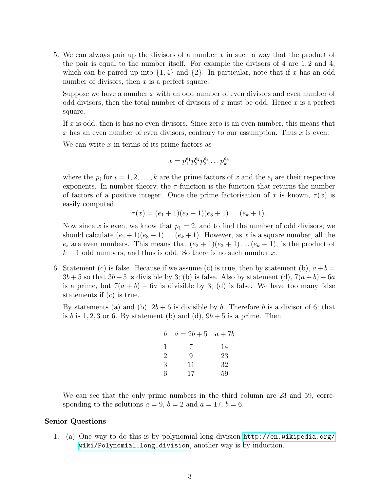5. We can always pair up the divisors of a number x in such a way that the product of the pair is equal to the number itself. For example the divisors of 4 are 1, 2 and 4, which can be paired up into  $\{1,4\}$  and  $\{2\}$ . In particular, note that if x has an odd number of divisors, then  $x$  is a perfect square.

Suppose we have a number x with an odd number of even divisors and even number of odd divisors, then the total number of divisors of x must be odd. Hence x is a perfect square.

If x is odd, then is has no even divisors. Since zero is an even number, this means that x has an even number of even divisors, contrary to our assumption. Thus  $x$  is even.

We can write  $x$  in terms of its prime factors as

$$
x = p_1^{e_1} p_2^{e_2} p_3^{e_3} \dots p_k^{e_k}
$$

where the  $p_i$  for  $i = 1, 2, \ldots, k$  are the prime factors of x and the  $e_i$  are their respective exponents. In number theory, the  $\tau$ -function is the function that returns the number of factors of a positive integer. Once the prime factorisation of x is known,  $\tau(x)$  is easily computed.

$$
\tau(x) = (e_1 + 1)(e_2 + 1)(e_3 + 1) \dots (e_k + 1).
$$

Now since x is even, we know that  $p_1 = 2$ , and to find the number of odd divisors, we should calculate  $(e_2 + 1)(e_3 + 1) \dots (e_k + 1)$ . However, as x is a square number, all the  $e_i$  are even numbers. This means that  $(e_2 + 1)(e_3 + 1) \dots (e_k + 1)$ , is the product of  $k-1$  odd numbers, and thus is odd. So there is no such number x.

6. Statement (c) is false. Because if we assume (c) is true, then by statement (b),  $a+b=$  $3b+5$  so that  $3b+5$  is divisible by 3; (b) is false. Also by statement (d),  $7(a+b)-6a$ is a prime, but  $7(a + b) - 6a$  is divisible by 3; (d) is false. We have too many false statements if  $(c)$  is true.

By statements (a) and (b),  $2b + 6$  is divisible by b. Therefore b is a divisor of 6; that is b is 1, 2, 3 or 6. By statement (b) and (d),  $9b + 5$  is a prime. Then

| h | $a = 2b + 5$ $a + 7b$ |    |
|---|-----------------------|----|
| L | 7                     | 14 |
| 2 | 9                     | 23 |
| 3 | 11                    | 32 |
| 6 | 17                    | 59 |

We can see that the only prime numbers in the third column are 23 and 59, corresponding to the solutions  $a = 9$ ,  $b = 2$  and  $a = 17$ ,  $b = 6$ .

## Senior Questions

1. (a) One way to do this is by polynomial long division [http://en.wikipedia.org/](http://en.wikipedia.org/wiki/Polynomial_long_division) [wiki/Polynomial\\_long\\_division](http://en.wikipedia.org/wiki/Polynomial_long_division), another way is by induction.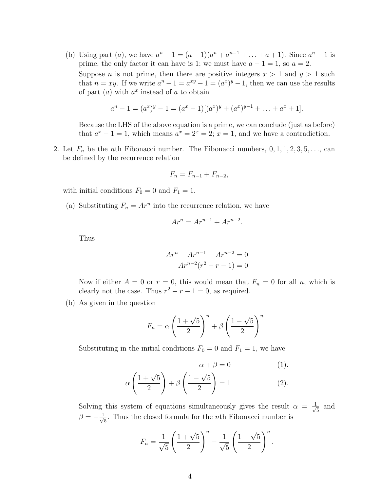(b) Using part (a), we have  $a^{n} - 1 = (a - 1)(a^{n} + a^{n-1} + ... + a + 1)$ . Since  $a^{n} - 1$  is prime, the only factor it can have is 1; we must have  $a - 1 = 1$ , so  $a = 2$ . Suppose *n* is not prime, then there are positive integers  $x > 1$  and  $y > 1$  such that  $n = xy$ . If we write  $a^{n} - 1 = a^{xy} - 1 = (a^{x})^{y} - 1$ , then we can use the results of part  $(a)$  with  $a^x$  instead of a to obtain

$$
a^{n} - 1 = (a^{x})^{y} - 1 = (a^{x} - 1)[(a^{x})^{y} + (a^{x})^{y-1} + \ldots + a^{x} + 1].
$$

Because the LHS of the above equation is a prime, we can conclude (just as before) that  $a^x - 1 = 1$ , which means  $a^x = 2^x = 2$ ;  $x = 1$ , and we have a contradiction.

2. Let  $F_n$  be the *n*th Fibonacci number. The Fibonacci numbers,  $0, 1, 1, 2, 3, 5, \ldots$ , can be defined by the recurrence relation

$$
F_n = F_{n-1} + F_{n-2},
$$

with initial conditions  $F_0 = 0$  and  $F_1 = 1$ .

(a) Substituting  $F_n = Ar^n$  into the recurrence relation, we have

$$
Ar^n = Ar^{n-1} + Ar^{n-2}.
$$

Thus

$$
Ar^{n} - Ar^{n-1} - Ar^{n-2} = 0
$$
  

$$
Ar^{n-2}(r^{2} - r - 1) = 0
$$

Now if either  $A = 0$  or  $r = 0$ , this would mean that  $F_n = 0$  for all n, which is clearly not the case. Thus  $r^2 - r - 1 = 0$ , as required.

(b) As given in the question

$$
F_n = \alpha \left(\frac{1+\sqrt{5}}{2}\right)^n + \beta \left(\frac{1-\sqrt{5}}{2}\right)^n.
$$

Substituting in the initial conditions  $F_0 = 0$  and  $F_1 = 1$ , we have

$$
\alpha + \beta = 0 \qquad (1).
$$
  

$$
\alpha \left( \frac{1 + \sqrt{5}}{2} \right) + \beta \left( \frac{1 - \sqrt{5}}{2} \right) = 1 \qquad (2).
$$

Solving this system of equations simultaneously gives the result  $\alpha = \frac{1}{\sqrt{2}}$ 5 and  $\beta = -\frac{1}{\sqrt{2}}$  $\frac{1}{5}$ . Thus the closed formula for the *n*th Fibonacci number is

$$
F_n = \frac{1}{\sqrt{5}} \left( \frac{1 + \sqrt{5}}{2} \right)^n - \frac{1}{\sqrt{5}} \left( \frac{1 - \sqrt{5}}{2} \right)^n.
$$